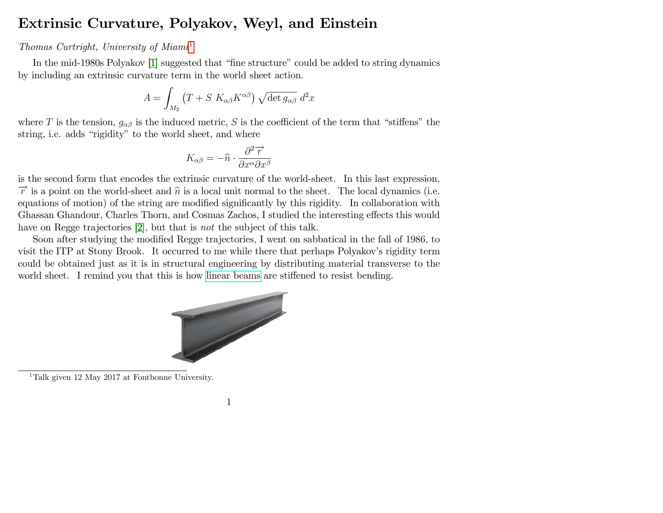## Extrinsic Curvature, Polyakov, Weyl, and Einstein

## Thomas Curtright, University of  $Miam<sup>1</sup>$  $Miam<sup>1</sup>$  $Miam<sup>1</sup>$

In the mid-1980s Polyakov [\[1\]](#page-9-0) suggested that "fine structure" could be added to string dynamics by including an extrinsic curvature term in the world sheet action.

$$
A = \int_{M_2} (T + S \, K_{\alpha\beta} K^{\alpha\beta}) \sqrt{\det g_{\alpha\beta}} \, d^2x
$$

where T is the tension,  $g_{\alpha\beta}$  is the induced metric, S is the coefficient of the term that "stiffens" the string, i.e. adds "rigidity" to the world sheet, and where

$$
K_{\alpha\beta} = -\widehat{n} \cdot \frac{\partial^2 \overrightarrow{r}}{\partial x^{\alpha} \partial x^{\beta}}
$$

is the second form that encodes the extrinsic curvature of the world-sheet. In this last expression,  $\vec{r}$  is a point on the world-sheet and  $\hat{n}$  is a local unit normal to the sheet. The local dynamics (i.e. equations of motion) of the string are modified significantly by this rigidity. In collaboration with Ghassan Ghandour, Charles Thorn, and Cosmas Zachos, I studied the interesting effects this would have on Regge trajectories [\[2\]](#page-9-1), but that is not the subject of this talk.

Soon after studying the modified Regge trajectories, I went on sabbatical in the fall of 1986, to visit the ITP at Stony Brook. It occurred to me while there that perhaps Polyakov's rigidity term could be obtained just as it is in structural engineering by distributing material transverse to the



<span id="page-0-0"></span><sup>1</sup>Talk given 12 May 2017 at Fontbonne University.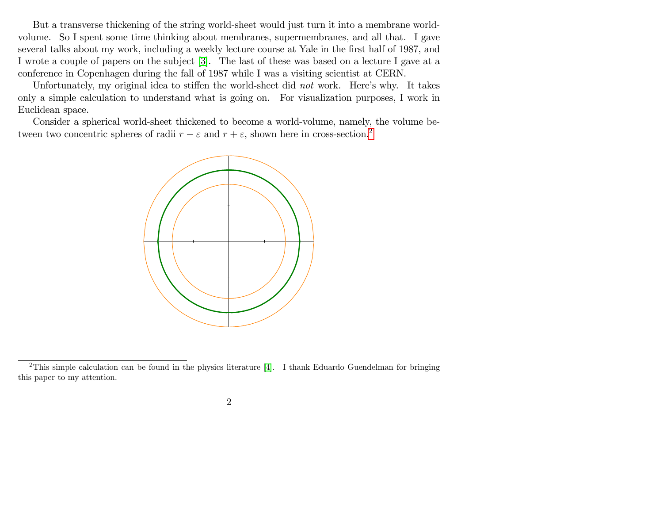But a transverse thickening of the string world-sheet would just turn it into a membrane worldvolume. So I spent some time thinking about membranes, supermembranes, and all that. I gave several talks about my work, including a weekly lecture course at Yale in the first half of 1987, and I wrote a couple of papers on the subject [\[3\]](#page-9-2). The last of these was based on a lecture I gave at a conference in Copenhagen during the fall of 1987 while I was a visiting scientist at CERN.

Unfortunately, my original idea to stiffen the world-sheet did not work. Here's why. It takes only a simple calculation to understand what is going on. For visualization purposes, I work in Euclidean space.

Consider a spherical world-sheet thickened to become a world-volume, namely, the volume between two concentric spheres of radii  $r - \varepsilon$  and  $r + \varepsilon$ , shown here in cross-section.<sup>[2](#page-1-0)</sup>



<span id="page-1-0"></span><sup>&</sup>lt;sup>2</sup>This simple calculation can be found in the physics literature [\[4\]](#page-9-3). I thank Eduardo Guendelman for bringing this paper to my attention.

<sup>2</sup>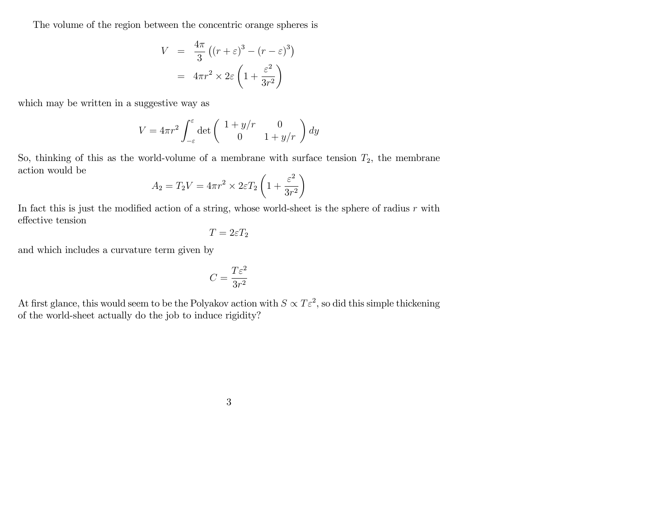The volume of the region between the concentric orange spheres is

$$
V = \frac{4\pi}{3} \left( (r + \varepsilon)^3 - (r - \varepsilon)^3 \right)
$$

$$
= 4\pi r^2 \times 2\varepsilon \left( 1 + \frac{\varepsilon^2}{3r^2} \right)
$$

which may be written in a suggestive way as

$$
V = 4\pi r^2 \int_{-\varepsilon}^{\varepsilon} \det \begin{pmatrix} 1 + y/r & 0\\ 0 & 1 + y/r \end{pmatrix} dy
$$

So, thinking of this as the world-volume of a membrane with surface tension  $T_2$ , the membrane action would be  $\mathcal{L}$ 

$$
A_2 = T_2 V = 4\pi r^2 \times 2\varepsilon T_2 \left( 1 + \frac{\varepsilon^2}{3r^2} \right)
$$

In fact this is just the modified action of a string, whose world-sheet is the sphere of radius  $r$  with  $\operatorname{effective}$  tension

$$
T=2\varepsilon T_2
$$

and which includes a curvature term given by

$$
C=\frac{T\varepsilon^2}{3r^2}
$$

At first glance, this would seem to be the Polyakov action with  $S \propto T \varepsilon^2$ , so did this simple thickening of the world-sheet actually do the job to induce rigidity?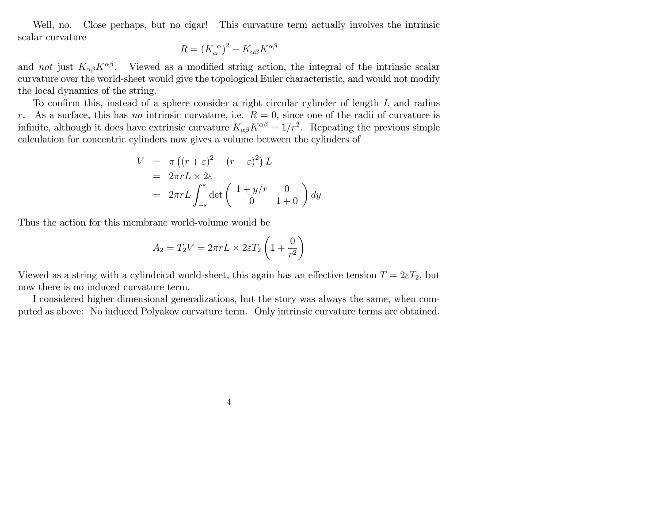Well, no. Close perhaps, but no cigar! This curvature term actually involves the intrinsic scalar curvature

$$
R = (K_{\alpha}^{\alpha})^2 - K_{\alpha\beta}K^{\alpha\beta}
$$

and not just  $K_{\alpha\beta}K^{\alpha\beta}$ . Viewed as a modified string action, the integral of the intrinsic scalar curvature over the world-sheet would give the topological Euler characteristic, and would not modify the local dynamics of the string.

To confirm this, instead of a sphere consider a right circular cylinder of length  $L$  and radius r. As a surface, this has no intrinsic curvature, i.e.  $R = 0$ , since one of the radii of curvature is infinite, although it does have extrinsic curvature  $K_{\alpha\beta}K^{\alpha\beta} = 1/r^2$ . Repeating the previous simple calculation for concentric cylinders now gives a volume between the cylinders of

$$
V = \pi ((r + \varepsilon)^2 - (r - \varepsilon)^2) L
$$
  
=  $2\pi r L \times 2\varepsilon$   
=  $2\pi r L \int_{-\varepsilon}^{\varepsilon} det \begin{pmatrix} 1 + y/r & 0 \\ 0 & 1 + 0 \end{pmatrix} dy$ 

Thus the action for this membrane world-volume would be

$$
A_2 = T_2 V = 2\pi r L \times 2\varepsilon T_2 \left(1 + \frac{0}{r^2}\right)
$$

Viewed as a string with a cylindrical world-sheet, this again has an effective tension  $T = 2\varepsilon T_2$ , but now there is no induced curvature term.

I considered higher dimensional generalizations, but the story was always the same, when computed as above: No induced Polyakov curvature term. Only intrinsic curvature terms are obtained.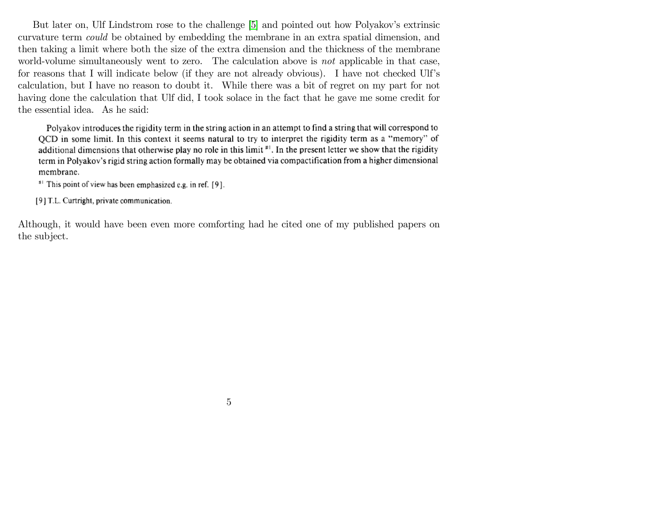But later on, Ulf Lindstrom rose to the challenge [\[5\]](#page-9-4) and pointed out how Polyakov's extrinsic curvature term could be obtained by embedding the membrane in an extra spatial dimension, and then taking a limit where both the size of the extra dimension and the thickness of the membrane world-volume simultaneously went to zero. The calculation above is not applicable in that case, for reasons that I will indicate below (if they are not already obvious). I have not checked Ulf's calculation, but I have no reason to doubt it. While there was a bit of regret on my part for not having done the calculation that Ulf did, I took solace in the fact that he gave me some credit for the essential idea. As he said:

Polyakov introduces the rigidity term in the string action in an attempt to find a string that will correspond to QCD in some limit. In this context it seems natural to try to interpret the rigidity term as a "memory" of additional dimensions that otherwise play no role in this limit  $\mathbb{H}^1$ . In the present letter we show that the rigidity term in Polyakov's rigid string action formally may be obtained via compactification from a higher dimensional membrane.

<sup>#1</sup> This point of view has been emphasized e.g. in ref. [9].

[9] T.L. Curtright, private communication.

Although, it would have been even more comforting had he cited one of my published papers on the subject.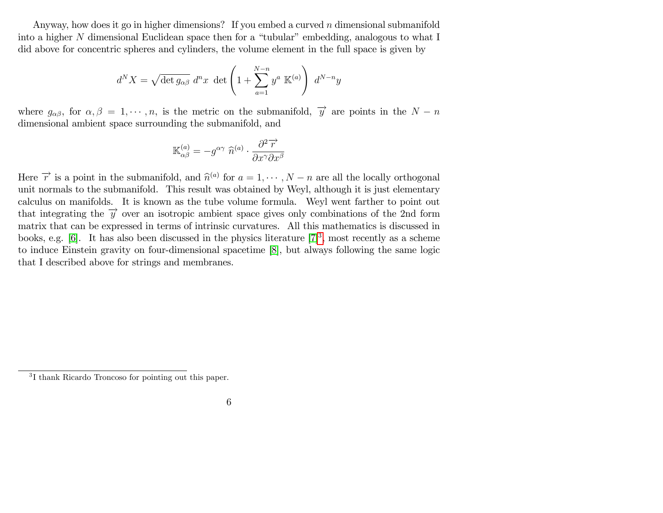Anyway, how does it go in higher dimensions? If you embed a curved  $n$  dimensional submanifold into a higher N dimensional Euclidean space then for a "tubular" embedding, analogous to what I did above for concentric spheres and cylinders, the volume element in the full space is given by

$$
d^N X = \sqrt{\det g_{\alpha\beta}} d^n x \det \left( 1 + \sum_{a=1}^{N-n} y^a \mathbb{K}^{(a)} \right) d^{N-n} y
$$

where  $g_{\alpha\beta}$ , for  $\alpha, \beta = 1, \dots, n$ , is the metric on the submanifold,  $\overrightarrow{y}$  are points in the  $N - n$ dimensional ambient space surrounding the submanifold, and

$$
\mathbb{K}_{\alpha\beta}^{(a)} = -g^{\alpha\gamma} \widehat{n}^{(a)} \cdot \frac{\partial^2 \overrightarrow{r}}{\partial x^{\gamma} \partial x^{\beta}}
$$

Here  $\vec{r}$  is a point in the submanifold, and  $\hat{n}^{(a)}$  for  $a = 1, \dots, N-n$  are all the locally orthogonal unit normals to the submanifold. This result was obtained by Weyl, although it is just elementary calculus on manifolds. It is known as the tube volume formula. Weyl went farther to point out that integrating the  $\vec{y}$  over an isotropic ambient space gives only combinations of the 2nd form matrix that can be expressed in terms of intrinsic curvatures. All this mathematics is discussed in books, e.g. [\[6\]](#page-9-5). It has also been discussed in the physics literature  $[7]^3$  $[7]^3$  $[7]^3$ , most recently as a scheme to induce Einstein gravity on four-dimensional spacetime [\[8\]](#page-9-7), but always following the same logic that I described above for strings and membranes.

<span id="page-5-0"></span><sup>3</sup> I thank Ricardo Troncoso for pointing out this paper.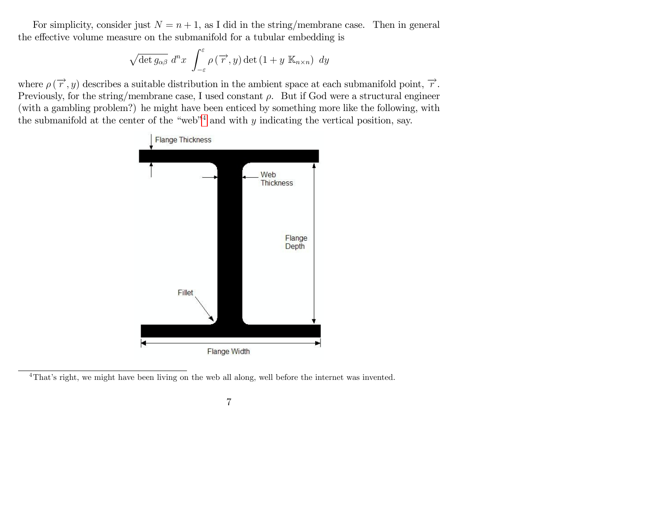For simplicity, consider just  $N = n + 1$ , as I did in the string/membrane case. Then in general the effective volume measure on the submanifold for a tubular embedding is

$$
\sqrt{\det g_{\alpha\beta}} \; d^n x \; \int_{-\varepsilon}^{\varepsilon} \rho\left(\overrightarrow{r}, y\right) \det\left(1 + y \; \mathbb{K}_{n \times n}\right) \; dy
$$

where  $\rho(\vec{r}, y)$  describes a suitable distribution in the ambient space at each submanifold point,  $\vec{r}$ . Previously, for the string/membrane case, I used constant  $\rho$ . But if God were a structural engineer (with a gambling problem?) he might have been enticed by something more like the following, with the submanifold at the center of the "web"<sup>4</sup> and with y indicating the vertical position, say.



<span id="page-6-0"></span><sup>&</sup>lt;sup>4</sup>That's right, we might have been living on the web all along, well before the internet was invented.

<sup>7</sup>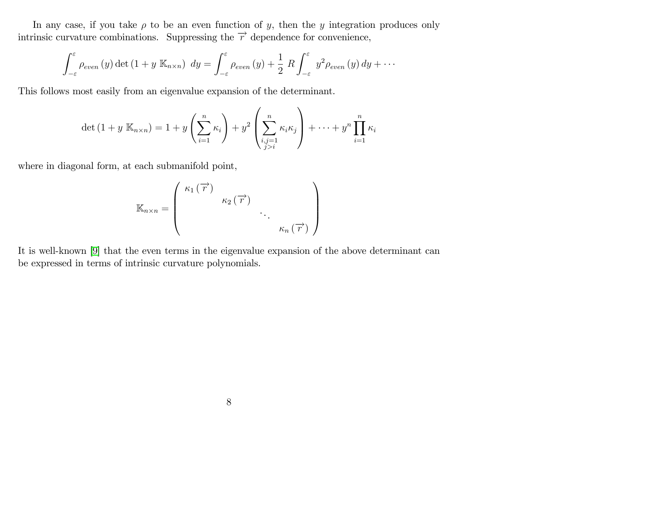In any case, if you take  $\rho$  to be an even function of y, then the y integration produces only intrinsic curvature combinations. Suppressing the  $\vec{r}$  dependence for convenience,

$$
\int_{-\varepsilon}^{\varepsilon} \rho_{even}(y) \det (1 + y \mathbb{K}_{n \times n}) dy = \int_{-\varepsilon}^{\varepsilon} \rho_{even}(y) + \frac{1}{2} R \int_{-\varepsilon}^{\varepsilon} y^2 \rho_{even}(y) dy + \cdots
$$

This follows most easily from an eigenvalue expansion of the determinant.

$$
\det (1 + y \mathbb{K}_{n \times n}) = 1 + y \left(\sum_{i=1}^{n} \kappa_i\right) + y^2 \left(\sum_{\substack{i,j=1 \ j>i}}^{n} \kappa_i \kappa_j\right) + \dots + y^n \prod_{i=1}^{n} \kappa_i
$$

where in diagonal form, at each submanifold point,

$$
\mathbb{K}_{n\times n} = \left(\begin{array}{cccc} \kappa_1(\overrightarrow{r}) & & & \\ & \kappa_2(\overrightarrow{r}) & & \\ & & \ddots & \\ & & & \kappa_n(\overrightarrow{r}) \end{array}\right)
$$

It is well-known [\[9\]](#page-9-8) that the even terms in the eigenvalue expansion of the above determinant can be expressed in terms of intrinsic curvature polynomials.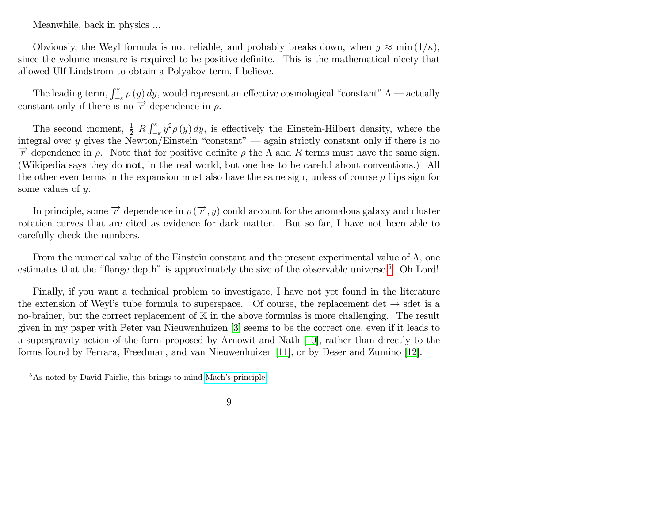Meanwhile, back in physics ...

Obviously, the Weyl formula is not reliable, and probably breaks down, when  $y \approx \min(1/\kappa)$ , since the volume measure is required to be positive definite. This is the mathematical nicety that allowed Ulf Lindstrom to obtain a Polyakov term, I believe.

The leading term,  $\int_{-\varepsilon}^{\varepsilon} \rho(y) dy$ , would represent an effective cosmological "constant"  $\Lambda$  — actually constant only if there is no  $\overrightarrow{r}$  dependence in  $\rho$ .

The second moment,  $\frac{1}{2} R \int_{-\epsilon}^{\epsilon} y^2 \rho(y) dy$ , is effectively the Einstein-Hilbert density, where the integral over y gives the Newton/Einstein "constant" — again strictly constant only if there is no  $\vec{r}$  dependence in  $\rho$ . Note that for positive definite  $\rho$  the  $\Lambda$  and R terms must have the same sign. (Wikipedia says they do not, in the real world, but one has to be careful about conventions.) All the other even terms in the expansion must also have the same sign, unless of course  $\rho$  flips sign for some values of y.

In principle, some  $\overrightarrow{r}$  dependence in  $\rho(\overrightarrow{r},y)$  could account for the anomalous galaxy and cluster rotation curves that are cited as evidence for dark matter. But so far, I have not been able to carefully check the numbers.

From the numerical value of the Einstein constant and the present experimental value of  $\Lambda$ , one estimates that the "flange depth" is approximately the size of the observable universe.<sup>[5](#page-8-0)</sup> Oh Lord!

Finally, if you want a technical problem to investigate, I have not yet found in the literature the extension of Weyl's tube formula to superspace. Of course, the replacement det  $\rightarrow$  sdet is a no-brainer, but the correct replacement of  $K$  in the above formulas is more challenging. The result given in my paper with Peter van Nieuwenhuizen [\[3\]](#page-9-2) seems to be the correct one, even if it leads to a supergravity action of the form proposed by Arnowit and Nath [\[10\]](#page-9-9), rather than directly to the forms found by Ferrara, Freedman, and van Nieuwenhuizen [\[11\]](#page-9-10), or by Deser and Zumino [\[12\]](#page-9-11).

<span id="page-8-0"></span> $5$ As noted by David Fairlie, this brings to mind Mach's principle.

<sup>9</sup>